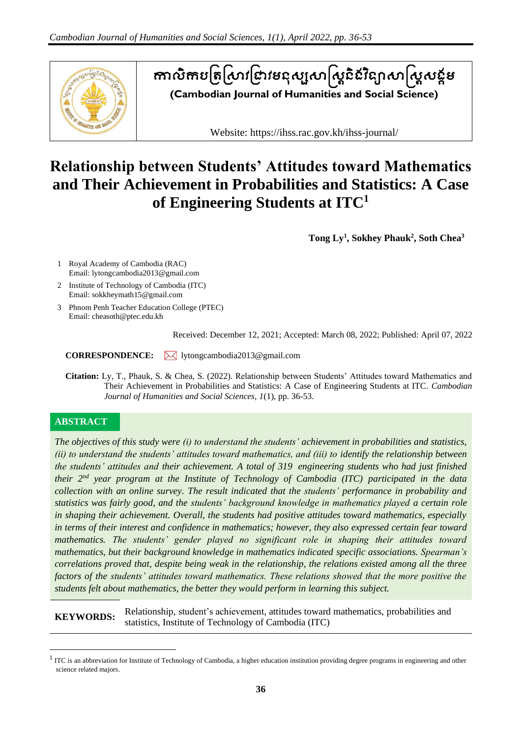

# តាលិកបត្រស្រាវជ្រាវមនុស្សសាស្ត្រីនេះន្យាសាស្ត្រសន្តម **(Cambodian Journal of Humanities and Social Science)**

Website: https://ihss.rac.gov.kh/ihss-journal/

# **Relationship between Students' Attitudes toward Mathematics and Their Achievement in Probabilities and Statistics: A Case of Engineering Students at ITC<sup>1</sup>**

**Tong Ly 1 , Sokhey Phauk<sup>2</sup> , Soth Chea<sup>3</sup>**

- 1 Royal Academy of Cambodia (RAC) Email: lytongcambodia2013@gmail.com
- 2 Institute of Technology of Cambodia (ITC) Email: sokkheymath15@gmail.com
- 3 Phnom Penh Teacher Education College (PTEC) Email: cheasoth@ptec.edu.kh

Received: December 12, 2021; Accepted: March 08, 2022; Published: April 07, 2022

**CORRESPONDENCE:** lytongcambodia2013@gmail.com

**Citation:** Ly, T., Phauk, S. & Chea, S. (2022). Relationship between Students' Attitudes toward Mathematics and Their Achievement in Probabilities and Statistics: A Case of Engineering Students at ITC. *Cambodian Journal of Humanities and Social Sciences*, *1*(1), pp. 36-53.

# **ABSTRACT**

*The objectives of this study were (i) to understand the students' achievement in probabilities and statistics, (ii) to understand the students' attitudes toward mathematics, and (iii) to identify the relationship between the students' attitudes and their achievement. A total of 319 engineering students who had just finished their 2 nd year program at the Institute of Technology of Cambodia (ITC) participated in the data collection with an online survey. The result indicated that the students' performance in probability and statistics was fairly good, and the students' background knowledge in mathematics played a certain role in shaping their achievement. Overall, the students had positive attitudes toward mathematics, especially in terms of their interest and confidence in mathematics; however, they also expressed certain fear toward mathematics. The students' gender played no significant role in shaping their attitudes toward mathematics, but their background knowledge in mathematics indicated specific associations. Spearman's correlations proved that, despite being weak in the relationship, the relations existed among all the three factors of the students' attitudes toward mathematics. These relations showed that the more positive the students felt about mathematics, the better they would perform in learning this subject.*

**KEYWORDS:** Relationship, student's achievement, attitudes toward mathematics, probabilities and statistics, Institute of Technology of Cambodia (ITC)

 $1$  ITC is an abbreviation for Institute of Technology of Cambodia, a higher education institution providing degree programs in engineering and other science related majors.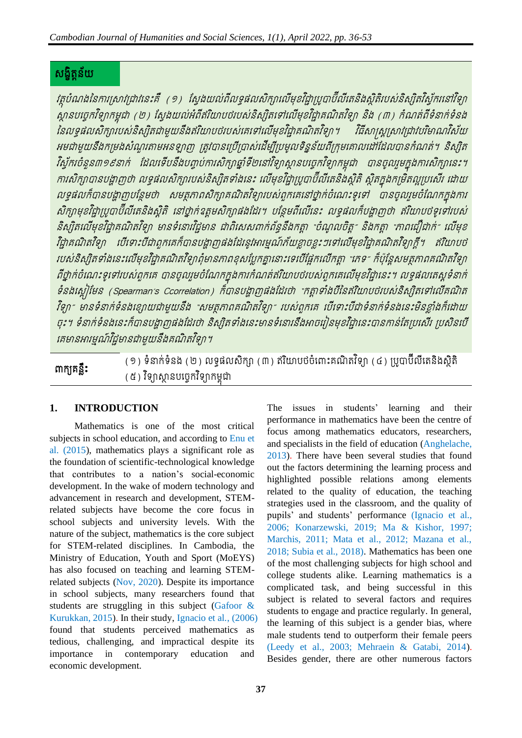# សង្ខិត្ន័យត

វត្ថុបំណងនៃការស្រាវជ្រាវនេះគឺ (១) ស្វែងយល់ពីលទ្ធផលសិក្សាលើមុខវិជ្ជាប្រូបាប៊ីលីតេនិងស្ថិតិរបស់និស្សិតវិស្វ័ករនៅវិទ្យា ិ៍<br>ស្ថានបច្ចេកវិទ្យាកម្ពុជា (២) ស្វែងយល់អំពីឥរិយាបថរបស់និស្សិតទៅលើមុខវិជ្ជាគណិតវិទ្យា និង (៣) កំណត់ពីទំនាក់ទំនង នៃលទ្ធផលសិក្សារបស់និស្សិតជាមួយនឹងឥរិយាបថរបស់គេទៅលើមុខវិជ្ជាគណិតវិទ្យា។ វិធីសាស្ត្រស្រាវជ្រាវបរិមាណវិស័យ អមជាមួយនឹងកម្រងសំណួរតាមអនឡាញ ត្រូវបានប្រើប្រាស់ដើម្បីប្រមូលទិន្នន័យពីក្រុមគោលដៅដែលបានកំណត់។ និស្សិត វិស្វ័ករចំនួន៣១៩នាក់ ដែលទើបនឹងបញ្ចប់ការសិក្សាឆ្នាំទី២នៅវិទ្យាស្ថានបរច្ចកវិទ្យាកម្ពុជា បានចូលរួមក្នុងការសិក្សានេះ។ ការសិក្សាបានបង្ហាញថា លទ្ធផលសិក្សារបស់និស្សិតទាំងនេះ លើមុខវិជ្ជាប្រូបាប៊ីលីតេនិងស្ថិតិ ស្ថិតក្នុងកម្រិតល្អប្រសើរ ដោយ លទ្ធផលក៏បានបង្ហាញបន្ថែមថា សមត្ថភាពសិក្សាគណិតវិទ្យារបស់ពួកគេនៅថ្នាក់ចំណេះទូទៅ បានចូលរួមចំណែកក្នុងការ សិក្សាមុខវិជ្ជាប្របាប៊ីលីតេនិងស្ថិតិ នៅថ្នាក់ឧត្តមសិក្សាផងដែរ។ បន្ថែមពីលើនេះ លទ្ធផលក៏បង្ហាញថា ឥរិយាបថទូទៅរបស់ និស្សិតលើមុខវិជ្ជាគណិតវិទ្យា មានទំនោរវិជ្ជមាន ជាពិសេសពាក់ព័ន្ធនឹងកត្តា "ចំណូលចិត្ត" និងកត្តា "ភាពជឿជាក់" លើមុខ វិជ្ជាគណិតវិទ្យា បើទោះបីជាពួកគេក៏បានបង្ហាញផងដែរនូវអារម្មណ៍ក័យខ្លាចខ្លះៗទៅលើមុខវិជ្ជាគណិតវិទ្យាក្ដី។ ឥរិយាបថ របស់និស្សិតទាំងនេះលើមុខវិជ្ជាគណិតវិទ្យាពុំមានភាពខុសប្លែកគ្នានោះទេបើផ្អែកលើកត្តា "ភេទ" ក៏ប៉ុន្តែសមត្ថភាពគណិតវិទ្យា ពីថ្នាក់ចំណេះទូទៅរបស់ពួកគេ បានចូលរួមចំណែកក្នុងការកំណត់ឥរិយាបថរបស់ពួកគេលើមុខវិជ្ជានេះ។ លទ្ធផលគេស្គូទំនាក់ ទំនងស្តៀមែន (Spearman's Ccorrelation) ក៏បានបង្ហាញផងដែរថា "កត្តាទាំងបីនៃឥរិយាបថរបស់និស្សិតទៅលើគណិត វិទ្យា $^{\circ}$  មានទំនាក់ទំនងខ្សោយជាមួយនឹង "សមត្ថភាពគណិតវិទ្យា $^{\circ}$  របស់ពួកគេ បើទោះបីជាទំនាក់ទំនងនេះមិនខ្លាំងក៏ដោយ ចុះ។ ទំនាក់ទំនងនេះក៏បានបង្ហាញផងដែរថា និស្សិតទាំងនេះមានទំនោរនឹងអាចរៀនមុខវិជ្ជានេះបានកាន់តែប្រសើរ ប្រសិនបើ នគមានអារមមណ៍វជ្ិាមានាមួយនឹង្គណិត្វទ្ិា។

ពាក្យគន្លឹះ

(១) ទំនាក់ទំនង (២) លទ្ធផលសិក្សា (៣) ឥរិយាបថចំពោះគណិតវិទ្យា (៤) ប្រូបាប៊ីលីតេនិងស្វិតិ (៥) វិទ្យាស្ថានបច្ចេកវិទ្យាកម្ពុជា

# **1. INTRODUCTION**

Mathematics is one of the most critical subjects in school education, and according to Enu et al. (2015), mathematics plays a significant role as the foundation of scientific-technological knowledge that contributes to a nation's social-economic development. In the wake of modern technology and advancement in research and development, STEMrelated subjects have become the core focus in school subjects and university levels. With the nature of the subject, mathematics is the core subject for STEM-related disciplines. In Cambodia, the Ministry of Education, Youth and Sport (MoEYS) has also focused on teaching and learning STEMrelated subjects (Nov, 2020). Despite its importance in school subjects, many researchers found that students are struggling in this subject (Gafoor & Kurukkan, 2015). In their study, Ignacio et al., (2006) found that students perceived mathematics as tedious, challenging, and impractical despite its importance in contemporary education and economic development.

The issues in students' learning and their performance in mathematics have been the centre of focus among mathematics educators, researchers, and specialists in the field of education (Anghelache, 2013). There have been several studies that found out the factors determining the learning process and highlighted possible relations among elements related to the quality of education, the teaching strategies used in the classroom, and the quality of pupils' and students' performance (Ignacio et al., 2006; Konarzewski, 2019; Ma & Kishor, 1997; Marchis, 2011; Mata et al., 2012; Mazana et al., 2018; Subia et al., 2018). Mathematics has been one of the most challenging subjects for high school and college students alike. Learning mathematics is a complicated task, and being successful in this subject is related to several factors and requires students to engage and practice regularly. In general, the learning of this subject is a gender bias, where male students tend to outperform their female peers (Leedy et al., 2003; Mehraein & Gatabi, 2014). Besides gender, there are other numerous factors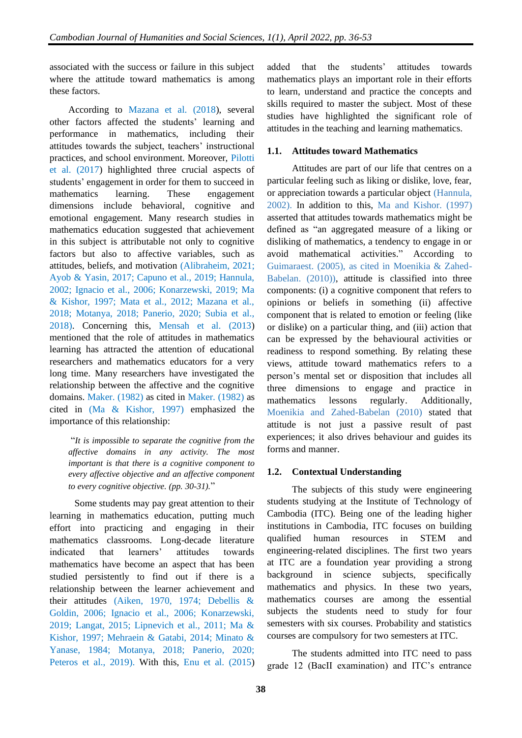associated with the success or failure in this subject where the attitude toward mathematics is among these factors.

According to Mazana et al. (2018), several other factors affected the students' learning and performance in mathematics, including their attitudes towards the subject, teachers' instructional practices, and school environment. Moreover, Pilotti et al. (2017) highlighted three crucial aspects of students' engagement in order for them to succeed in mathematics learning. These engagement dimensions include behavioral, cognitive and emotional engagement. Many research studies in mathematics education suggested that achievement in this subject is attributable not only to cognitive factors but also to affective variables, such as attitudes, beliefs, and motivation (Alibraheim, 2021; Ayob & Yasin, 2017; Capuno et al., 2019; Hannula, 2002; Ignacio et al., 2006; Konarzewski, 2019; Ma & Kishor, 1997; Mata et al., 2012; Mazana et al., 2018; Motanya, 2018; Panerio, 2020; Subia et al., 2018). Concerning this, Mensah et al. (2013) mentioned that the role of attitudes in mathematics learning has attracted the attention of educational researchers and mathematics educators for a very long time. Many researchers have investigated the relationship between the affective and the cognitive domains. Maker. (1982) as cited in Maker. (1982) as cited in (Ma & Kishor, 1997) emphasized the importance of this relationship:

"*It is impossible to separate the cognitive from the affective domains in any activity. The most important is that there is a cognitive component to every affective objective and an affective component to every cognitive objective. (pp. 30-31).*"

Some students may pay great attention to their learning in mathematics education, putting much effort into practicing and engaging in their mathematics classrooms. Long-decade literature indicated that learners' attitudes towards mathematics have become an aspect that has been studied persistently to find out if there is a relationship between the learner achievement and their attitudes (Aiken, 1970, 1974; Debellis & Goldin, 2006; Ignacio et al., 2006; Konarzewski, 2019; Langat, 2015; Lipnevich et al., 2011; Ma & Kishor, 1997; Mehraein & Gatabi, 2014; Minato & Yanase, 1984; Motanya, 2018; Panerio, 2020; Peteros et al., 2019). With this, Enu et al. (2015)

added that the students' attitudes towards mathematics plays an important role in their efforts to learn, understand and practice the concepts and skills required to master the subject. Most of these studies have highlighted the significant role of attitudes in the teaching and learning mathematics.

#### **1.1. Attitudes toward Mathematics**

Attitudes are part of our life that centres on a particular feeling such as liking or dislike, love, fear, or appreciation towards a particular object (Hannula, 2002). In addition to this, Ma and Kishor. (1997) asserted that attitudes towards mathematics might be defined as "an aggregated measure of a liking or disliking of mathematics, a tendency to engage in or avoid mathematical activities." According to Guimaraest. (2005), as cited in Moenikia & Zahed-Babelan. (2010)), attitude is classified into three components: (i) a cognitive component that refers to opinions or beliefs in something (ii) affective component that is related to emotion or feeling (like or dislike) on a particular thing, and (iii) action that can be expressed by the behavioural activities or readiness to respond something. By relating these views, attitude toward mathematics refers to a person's mental set or disposition that includes all three dimensions to engage and practice in mathematics lessons regularly. Additionally, Moenikia and Zahed-Babelan (2010) stated that attitude is not just a passive result of past experiences; it also drives behaviour and guides its forms and manner.

#### **1.2. Contextual Understanding**

The subjects of this study were engineering students studying at the Institute of Technology of Cambodia (ITC). Being one of the leading higher institutions in Cambodia, ITC focuses on building qualified human resources in STEM and engineering-related disciplines. The first two years at ITC are a foundation year providing a strong background in science subjects, specifically mathematics and physics. In these two years, mathematics courses are among the essential subjects the students need to study for four semesters with six courses. Probability and statistics courses are compulsory for two semesters at ITC.

The students admitted into ITC need to pass grade 12 (BacII examination) and ITC's entrance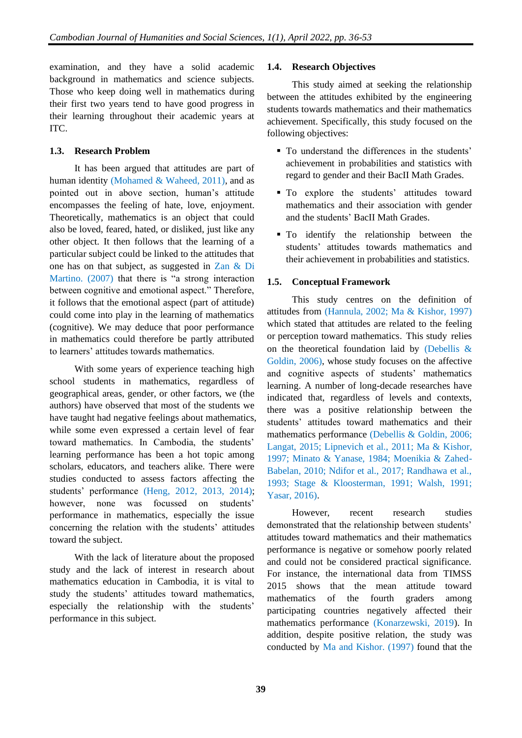examination, and they have a solid academic background in mathematics and science subjects. Those who keep doing well in mathematics during their first two years tend to have good progress in their learning throughout their academic years at ITC.

#### **1.3. Research Problem**

It has been argued that attitudes are part of human identity (Mohamed & Waheed, 2011), and as pointed out in above section, human's attitude encompasses the feeling of hate, love, enjoyment. Theoretically, mathematics is an object that could also be loved, feared, hated, or disliked, just like any other object. It then follows that the learning of a particular subject could be linked to the attitudes that one has on that subject, as suggested in Zan & Di Martino. (2007) that there is "a strong interaction between cognitive and emotional aspect." Therefore, it follows that the emotional aspect (part of attitude) could come into play in the learning of mathematics (cognitive). We may deduce that poor performance in mathematics could therefore be partly attributed to learners' attitudes towards mathematics.

With some years of experience teaching high school students in mathematics, regardless of geographical areas, gender, or other factors, we (the authors) have observed that most of the students we have taught had negative feelings about mathematics, while some even expressed a certain level of fear toward mathematics. In Cambodia, the students' learning performance has been a hot topic among scholars, educators, and teachers alike. There were studies conducted to assess factors affecting the students' performance (Heng, 2012, 2013, 2014); however, none was focussed on students' performance in mathematics, especially the issue concerning the relation with the students' attitudes toward the subject.

With the lack of literature about the proposed study and the lack of interest in research about mathematics education in Cambodia, it is vital to study the students' attitudes toward mathematics, especially the relationship with the students' performance in this subject.

#### **1.4. Research Objectives**

This study aimed at seeking the relationship between the attitudes exhibited by the engineering students towards mathematics and their mathematics achievement. Specifically, this study focused on the following objectives:

- To understand the differences in the students' achievement in probabilities and statistics with regard to gender and their BacII Math Grades.
- **•** To explore the students' attitudes toward mathematics and their association with gender and the students' BacII Math Grades.
- **•** To identify the relationship between the students' attitudes towards mathematics and their achievement in probabilities and statistics.

# **1.5. Conceptual Framework**

This study centres on the definition of attitudes from (Hannula, 2002; Ma & Kishor, 1997) which stated that attitudes are related to the feeling or perception toward mathematics. This study relies on the theoretical foundation laid by (Debellis & Goldin, 2006), whose study focuses on the affective and cognitive aspects of students' mathematics learning. A number of long-decade researches have indicated that, regardless of levels and contexts, there was a positive relationship between the students' attitudes toward mathematics and their mathematics performance (Debellis & Goldin, 2006; Langat, 2015; Lipnevich et al., 2011; Ma & Kishor, 1997; Minato & Yanase, 1984; Moenikia & Zahed-Babelan, 2010; Ndifor et al., 2017; Randhawa et al., 1993; Stage & Kloosterman, 1991; Walsh, 1991; Yasar, 2016).

However, recent research studies demonstrated that the relationship between students' attitudes toward mathematics and their mathematics performance is negative or somehow poorly related and could not be considered practical significance. For instance, the international data from TIMSS 2015 shows that the mean attitude toward mathematics of the fourth graders among participating countries negatively affected their mathematics performance (Konarzewski, 2019). In addition, despite positive relation, the study was conducted by Ma and Kishor. (1997) found that the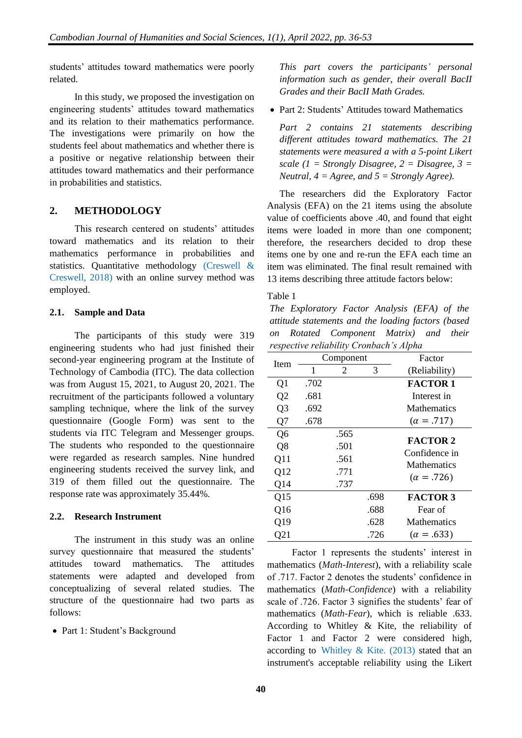students' attitudes toward mathematics were poorly related.

In this study, we proposed the investigation on engineering students' attitudes toward mathematics and its relation to their mathematics performance. The investigations were primarily on how the students feel about mathematics and whether there is a positive or negative relationship between their attitudes toward mathematics and their performance in probabilities and statistics.

# **2. METHODOLOGY**

This research centered on students' attitudes toward mathematics and its relation to their mathematics performance in probabilities and statistics. Quantitative methodology (Creswell & Creswell, 2018) with an online survey method was employed.

#### **2.1. Sample and Data**

The participants of this study were 319 engineering students who had just finished their second-year engineering program at the Institute of Technology of Cambodia (ITC). The data collection was from August 15, 2021, to August 20, 2021. The recruitment of the participants followed a voluntary sampling technique, where the link of the survey questionnaire (Google Form) was sent to the students via ITC Telegram and Messenger groups. The students who responded to the questionnaire were regarded as research samples. Nine hundred engineering students received the survey link, and 319 of them filled out the questionnaire. The response rate was approximately 35.44%.

# **2.2. Research Instrument**

The instrument in this study was an online survey questionnaire that measured the students' attitudes toward mathematics. The attitudes statements were adapted and developed from conceptualizing of several related studies. The structure of the questionnaire had two parts as follows:

• Part 1: Student's Background

*This part covers the participants' personal information such as gender, their overall BacII Grades and their BacII Math Grades.*

• Part 2: Students' Attitudes toward Mathematics

*Part 2 contains 21 statements describing different attitudes toward mathematics. The 21 statements were measured a with a 5-point Likert scale (1 = Strongly Disagree, 2 = Disagree, 3 = Neutral, 4 = Agree, and 5 = Strongly Agree).*

The researchers did the Exploratory Factor Analysis (EFA) on the 21 items using the absolute value of coefficients above .40, and found that eight items were loaded in more than one component; therefore, the researchers decided to drop these items one by one and re-run the EFA each time an item was eliminated. The final result remained with 13 items describing three attitude factors below:

#### Table 1

*The Exploratory Factor Analysis (EFA) of the attitude statements and the loading factors (based on Rotated Component Matrix) and their respective reliability Cronbach's Alpha*

| Item           | Component |      |      | Factor                              |
|----------------|-----------|------|------|-------------------------------------|
|                | 1         | 2    | 3    | (Reliability)                       |
| Q1             | .702      |      |      | <b>FACTOR 1</b>                     |
| Q <sub>2</sub> | .681      |      |      | Interest in                         |
| Q <sub>3</sub> | .692      |      |      | <b>Mathematics</b>                  |
| Q7             | .678      |      |      | $(\alpha = .717)$                   |
| Q <sub>6</sub> |           | .565 |      |                                     |
| Q8             |           | .501 |      | <b>FACTOR 2</b>                     |
| Q11            |           | .561 |      | Confidence in<br><b>Mathematics</b> |
| Q12            |           | .771 |      |                                     |
| Q14            |           | .737 |      | $(\alpha = .726)$                   |
| Q15            |           |      | .698 | <b>FACTOR 3</b>                     |
| Q16            |           |      | .688 | Fear of                             |
| Q19            |           |      | .628 | <b>Mathematics</b>                  |
| Q21            |           |      | .726 | $(\alpha = .633)$                   |

Factor 1 represents the students' interest in mathematics (*Math-Interest*), with a reliability scale of .717. Factor 2 denotes the students' confidence in mathematics (*Math-Confidence*) with a reliability scale of .726. Factor 3 signifies the students' fear of mathematics (*Math-Fear*), which is reliable .633. According to Whitley & Kite, the reliability of Factor 1 and Factor 2 were considered high, according to Whitley & Kite.  $(2013)$  stated that an instrument's acceptable reliability using the Likert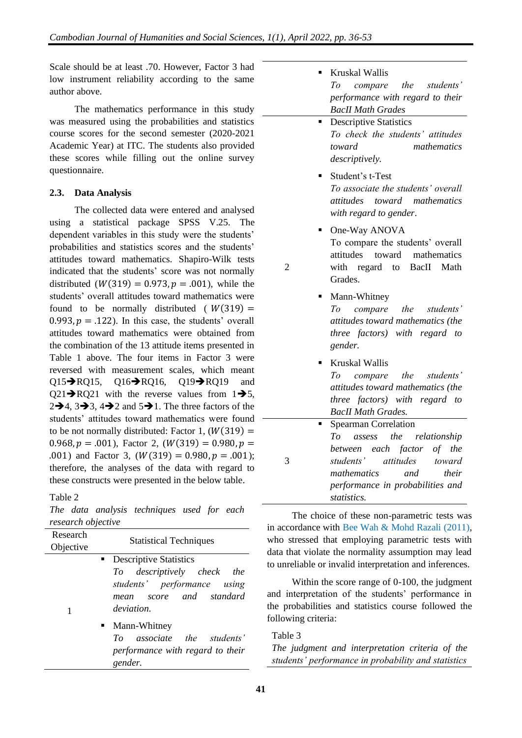Scale should be at least .70. However, Factor 3 had low instrument reliability according to the same author above.

The mathematics performance in this study was measured using the probabilities and statistics course scores for the second semester (2020-2021 Academic Year) at ITC. The students also provided these scores while filling out the online survey questionnaire.

# **2.3. Data Analysis**

The collected data were entered and analysed using a statistical package SPSS V.25. The dependent variables in this study were the students' probabilities and statistics scores and the students' attitudes toward mathematics. Shapiro-Wilk tests indicated that the students' score was not normally distributed  $(W(319) = 0.973, p = .001)$ , while the students' overall attitudes toward mathematics were found to be normally distributed ( $W(319) =$ 0.993,  $p = .122$ ). In this case, the students' overall attitudes toward mathematics were obtained from the combination of the 13 attitude items presented in Table 1 above. The four items in Factor 3 were reversed with measurement scales, which meant Q15→RQ15, Q16→RQ16, Q19→RQ19 and  $Q21\rightarrow RQ21$  with the reverse values from  $1\rightarrow 5$ ,  $2\rightarrow 4$ ,  $3\rightarrow 3$ ,  $4\rightarrow 2$  and  $5\rightarrow 1$ . The three factors of the students' attitudes toward mathematics were found to be not normally distributed: Factor 1,  $(W(319) =$ 0.968,  $p = .001$ ), Factor 2, ( $W(319) = 0.980$ ,  $p =$ .001) and Factor 3,  $(W(319) = 0.980, p = .001)$ ; therefore, the analyses of the data with regard to these constructs were presented in the below table.

# Table 2

*The data analysis techniques used for each research objective*

| Research<br>Objective      |  | <b>Statistical Techniques</b>                                                                      |  |  |  |  |
|----------------------------|--|----------------------------------------------------------------------------------------------------|--|--|--|--|
|                            |  | <b>Descriptive Statistics</b>                                                                      |  |  |  |  |
| 1                          |  | To descriptively check the<br>students' performance using<br>mean score and standard<br>deviation. |  |  |  |  |
|                            |  | • Mann-Whitney                                                                                     |  |  |  |  |
| To associate the students' |  |                                                                                                    |  |  |  |  |
|                            |  | performance with regard to their<br>gender.                                                        |  |  |  |  |
|                            |  |                                                                                                    |  |  |  |  |

|  | ■ Kruskal Wallis                 |  |
|--|----------------------------------|--|
|  | To compare the students'         |  |
|  | performance with regard to their |  |
|  | <b>BacII Math Grades</b>         |  |
|  | Decembers Statistics             |  |

- **Descriptive Statistics** *To check the students' attitudes toward mathematics descriptively.*
- Student's t-Test *To associate the students' overall attitudes toward mathematics with regard to gender*.
- One-Way ANOVA To compare the students' overall attitudes toward mathematics with regard to BacII Math Grades.
- Mann-Whitney *To compare the students' attitudes toward mathematics (the three factors) with regard to gender.* **Kruskal Wallis** *To compare the students' attitudes toward mathematics (the three factors) with regard to BacII Math Grades.* 3 **Spearman Correlation** *To assess the relationship between each factor of the students' attitudes toward mathematics and their performance in probabilities and*

The choice of these non-parametric tests was in accordance with Bee Wah & Mohd Razali (2011), who stressed that employing parametric tests with data that violate the normality assumption may lead to unreliable or invalid interpretation and inferences.

*statistics.*

Within the score range of 0-100, the judgment and interpretation of the students' performance in the probabilities and statistics course followed the following criteria:

# Table 3

 $\mathcal{L}$ 

*The judgment and interpretation criteria of the students' performance in probability and statistics*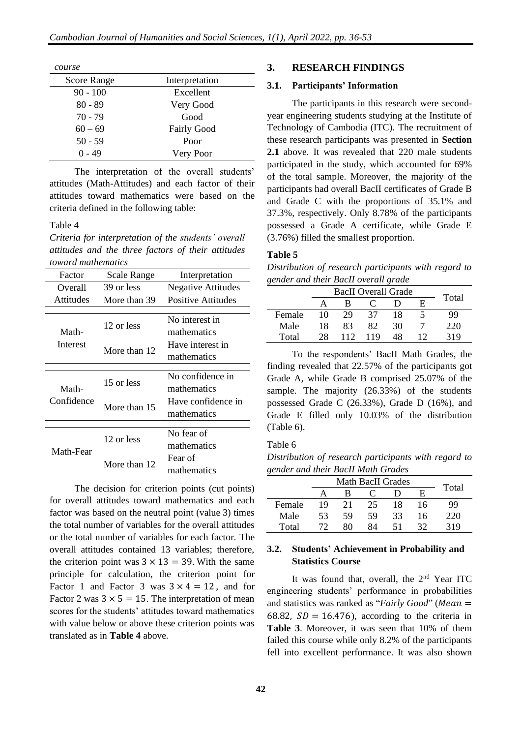| course      |                    |  |
|-------------|--------------------|--|
| Score Range | Interpretation     |  |
| $90 - 100$  | Excellent          |  |
| $80 - 89$   | Very Good          |  |
| $70 - 79$   | Good               |  |
| $60 - 69$   | <b>Fairly Good</b> |  |
| $50 - 59$   | Poor               |  |
| $0 - 49$    | Very Poor          |  |

The interpretation of the overall students' attitudes (Math-Attitudes) and each factor of their attitudes toward mathematics were based on the criteria defined in the following table:

Table 4

*Criteria for interpretation of the students' overall attitudes and the three factors of their attitudes toward mathematics*

| Factor           | <b>Scale Range</b> | Interpretation            |
|------------------|--------------------|---------------------------|
| Overall          | 39 or less         | <b>Negative Attitudes</b> |
| <b>Attitudes</b> | More than 39       | Positive Attitudes        |
|                  |                    |                           |
|                  | 12 or less         | No interest in            |
| Math-            |                    | mathematics               |
| Interest         | More than 12       | Have interest in          |
|                  |                    | mathematics               |
|                  |                    |                           |
|                  | 15 or less         | No confidence in          |
| Math-            |                    | mathematics               |
| Confidence       | More than 15       | Have confidence in        |
|                  |                    | mathematics               |
|                  |                    |                           |
|                  | 12 or less         | No fear of                |
| Math-Fear        |                    | mathematics               |
|                  | More than 12       | Fear of                   |
|                  |                    | mathematics               |

The decision for criterion points (cut points) for overall attitudes toward mathematics and each factor was based on the neutral point (value 3) times the total number of variables for the overall attitudes or the total number of variables for each factor. The overall attitudes contained 13 variables; therefore, the criterion point was  $3 \times 13 = 39$ . With the same principle for calculation, the criterion point for Factor 1 and Factor 3 was  $3 \times 4 = 12$ , and for Factor 2 was  $3 \times 5 = 15$ . The interpretation of mean scores for the students' attitudes toward mathematics with value below or above these criterion points was translated as in **Table 4** above.

#### **3. RESEARCH FINDINGS**

#### **3.1. Participants' Information**

The participants in this research were secondyear engineering students studying at the Institute of Technology of Cambodia (ITC). The recruitment of these research participants was presented in **Section 2.1** above. It was revealed that 220 male students participated in the study, which accounted for 69% of the total sample. Moreover, the majority of the participants had overall BacII certificates of Grade B and Grade C with the proportions of 35.1% and 37.3%, respectively. Only 8.78% of the participants possessed a Grade A certificate, while Grade E (3.76%) filled the smallest proportion.

#### **Table 5**

*Distribution of research participants with regard to gender and their BacII overall grade*

|        |    | <b>BacII</b> Overall Grade |     |    |    |       |
|--------|----|----------------------------|-----|----|----|-------|
|        |    | в                          |     |    | F. | Total |
| Female | 10 | 29                         | 37  | 18 |    | 99    |
| Male   | 18 | 83                         | 82. | 30 |    | 220   |
| Total  | 28 | 112                        | 119 | 48 |    | 319   |

To the respondents' BacII Math Grades, the finding revealed that 22.57% of the participants got Grade A, while Grade B comprised 25.07% of the sample. The majority (26.33%) of the students possessed Grade C (26.33%), Grade D (16%), and Grade E filled only 10.03% of the distribution (Table 6).

#### Table 6

*Distribution of research participants with regard to gender and their BacII Math Grades*

| ╯      |    | Math BacII Grades |    |    |    |       |
|--------|----|-------------------|----|----|----|-------|
|        |    | R                 |    |    | E  | Total |
| Female | 19 | 21                | 25 | 18 | 16 | 99    |
| Male   | 53 | 59                | 59 | 33 | 16 | 220   |
| Total  |    | 80                | 84 | 51 | 32 | 319   |

#### **3.2. Students' Achievement in Probability and Statistics Course**

It was found that, overall, the 2<sup>nd</sup> Year ITC engineering students' performance in probabilities and statistics was ranked as "*Fairly Good*" (*Mean* = 68.82,  $SD = 16.476$ ), according to the criteria in **Table 3**. Moreover, it was seen that 10% of them failed this course while only 8.2% of the participants fell into excellent performance. It was also shown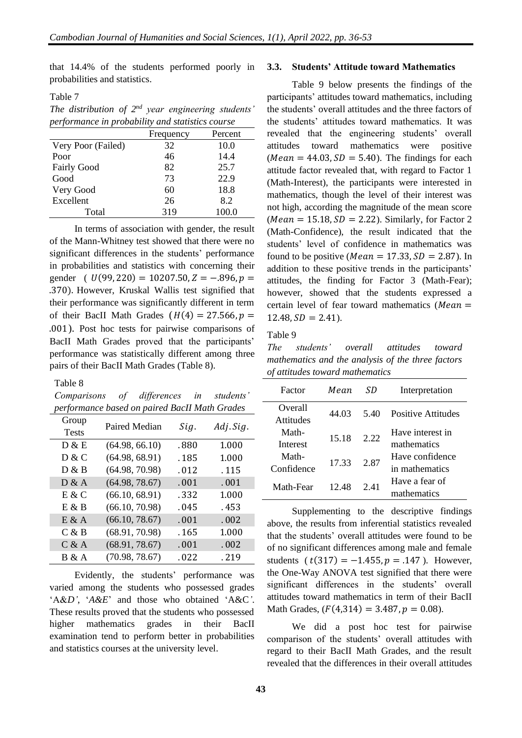that 14.4% of the students performed poorly in probabilities and statistics.

Table 7

*The distribution of 2nd year engineering students' performance in probability and statistics course*

|                    | Frequency | Percent |
|--------------------|-----------|---------|
| Very Poor (Failed) | 32        | 10.0    |
| Poor               | 46        | 14.4    |
| <b>Fairly Good</b> | 82        | 25.7    |
| Good               | 73        | 22.9    |
| Very Good          | 60        | 18.8    |
| Excellent          | 26        | 8.2     |
| Total              | 319       | 100.0   |

In terms of association with gender, the result of the Mann-Whitney test showed that there were no significant differences in the students' performance in probabilities and statistics with concerning their gender (  $U(99, 220) = 10207.50, Z = -.896, p =$ .370). However, Kruskal Wallis test signified that their performance was significantly different in term of their BacII Math Grades  $(H(4) = 27.566, p =$ .001). Post hoc tests for pairwise comparisons of BacII Math Grades proved that the participants' performance was statistically different among three pairs of their BacII Math Grades (Table 8).

Table 8

*Comparisons of differences in students' performance based on paired BacII Math Grades*

| Group        |                |       |           |
|--------------|----------------|-------|-----------|
| <b>Tests</b> | Paired Median  | Sig.  | Adj. Sig. |
| D & E        | (64.98, 66.10) | .880  | 1.000     |
| D & C        | (64.98, 68.91) | .185  | 1.000     |
| D & B        | (64.98, 70.98) | .012  | .115      |
| D & A        | (64.98, 78.67) | .001  | .001      |
| E & C        | (66.10, 68.91) | . 332 | 1.000     |
| E & B        | (66.10, 70.98) | .045  | . 453     |
| $E \& A$     | (66.10, 78.67) | .001  | .002      |
| C & B        | (68.91, 70.98) | . 165 | 1.000     |
| C & A        | (68.91, 78.67) | .001  | .002      |
| B & A        | (70.98, 78.67) | .022  | .219      |

Evidently, the students' performance was varied among the students who possessed grades 'A&*D'*, '*A&E*' and those who obtained 'A&C*'*. These results proved that the students who possessed higher mathematics grades in their BacII examination tend to perform better in probabilities and statistics courses at the university level.

#### **3.3. Students' Attitude toward Mathematics**

Table 9 below presents the findings of the participants' attitudes toward mathematics, including the students' overall attitudes and the three factors of the students' attitudes toward mathematics. It was revealed that the engineering students' overall attitudes toward mathematics were positive ( $Mean = 44.03$ ,  $SD = 5.40$ ). The findings for each attitude factor revealed that, with regard to Factor 1 (Math-Interest), the participants were interested in mathematics, though the level of their interest was not high, according the magnitude of the mean score ( $Mean = 15.18, SD = 2.22$ ). Similarly, for Factor 2 (Math-Confidence), the result indicated that the students' level of confidence in mathematics was found to be positive (*Mean* = 17.33,  $SD = 2.87$ ). In addition to these positive trends in the participants' attitudes, the finding for Factor 3 (Math-Fear); however, showed that the students expressed a certain level of fear toward mathematics ( $Mean =$  $12.48, SD = 2.41.$ 

Table 9

*The students' overall attitudes toward mathematics and the analysis of the three factors of attitudes toward mathematics*

| Factor     | Mean. | SD   | Interpretation            |  |
|------------|-------|------|---------------------------|--|
| Overall    | 44.03 | 5.40 | <b>Positive Attitudes</b> |  |
| Attitudes  |       |      |                           |  |
| Math-      | 15.18 | 2.22 | Have interest in          |  |
| Interest   |       |      | mathematics               |  |
| Math-      | 17 33 | 2.87 | Have confidence           |  |
| Confidence |       |      | in mathematics            |  |
| Math-Fear  | 12.48 | 2.41 | Have a fear of            |  |
|            |       |      | mathematics               |  |

Supplementing to the descriptive findings above, the results from inferential statistics revealed that the students' overall attitudes were found to be of no significant differences among male and female students ( $t(317) = -1.455$ ,  $p = .147$ ). However, the One-Way ANOVA test signified that there were significant differences in the students' overall attitudes toward mathematics in term of their BacII Math Grades,  $(F(4,314) = 3.487, p = 0.08)$ .

We did a post hoc test for pairwise comparison of the students' overall attitudes with regard to their BacII Math Grades, and the result revealed that the differences in their overall attitudes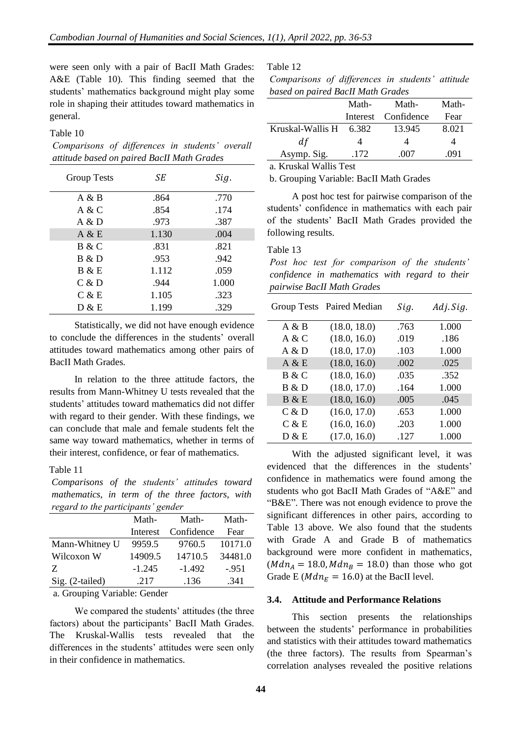were seen only with a pair of BacII Math Grades: A&E (Table 10). This finding seemed that the students' mathematics background might play some role in shaping their attitudes toward mathematics in general.

#### Table 10

*Comparisons of differences in students' overall attitude based on paired BacII Math Grades*

| <b>Group Tests</b> | SЕ    | Sig.  |
|--------------------|-------|-------|
| A & B              | .864  | .770  |
| A & C              | .854  | .174  |
| A & D              | .973  | .387  |
| A & E              | 1.130 | .004  |
| B & C              | .831  | .821  |
| B & D              | .953  | .942  |
| B & E              | 1.112 | .059  |
| C & D              | .944  | 1.000 |
| C & E              | 1.105 | .323  |
| D & E              | 1.199 | .329  |

Statistically, we did not have enough evidence to conclude the differences in the students' overall attitudes toward mathematics among other pairs of BacII Math Grades.

In relation to the three attitude factors, the results from Mann-Whitney U tests revealed that the students' attitudes toward mathematics did not differ with regard to their gender. With these findings, we can conclude that male and female students felt the same way toward mathematics, whether in terms of their interest, confidence, or fear of mathematics.

#### Table 11

*Comparisons of the students' attitudes toward mathematics, in term of the three factors, with regard to the participants' gender*

|                 | Math-    | Math-      | Math-   |
|-----------------|----------|------------|---------|
|                 | Interest | Confidence | Fear    |
| Mann-Whitney U  | 9959.5   | 9760.5     | 10171.0 |
| Wilcoxon W      | 14909.5  | 14710.5    | 34481.0 |
| Z               | $-1.245$ | $-1.492$   | $-.951$ |
| Sig. (2-tailed) | .217     | .136       | .341    |

a. Grouping Variable: Gender

We compared the students' attitudes (the three factors) about the participants' BacII Math Grades. The Kruskal-Wallis tests revealed that the differences in the students' attitudes were seen only in their confidence in mathematics.

Table 12

| Comparisons of differences in students' attitude |  |  |  |
|--------------------------------------------------|--|--|--|
| based on paired BacII Math Grades                |  |  |  |

|                            | Math- | Math-               | Math- |
|----------------------------|-------|---------------------|-------|
|                            |       | Interest Confidence | Fear  |
| Kruskal-Wallis $H = 6.382$ |       | 13.945              | 8.021 |
| d f                        |       |                     |       |
| Asymp. Sig.                | .172  | -007                | 091   |

a. Kruskal Wallis Test

b. Grouping Variable: BacII Math Grades

A post hoc test for pairwise comparison of the students' confidence in mathematics with each pair of the students' BacII Math Grades provided the following results.

#### Table 13

*Post hoc test for comparison of the students' confidence in mathematics with regard to their pairwise BacII Math Grades*

|       | Group Tests Paired Median | Sig. | Adj. Sig. |
|-------|---------------------------|------|-----------|
| A & B | (18.0, 18.0)              | .763 | 1.000     |
| A & C | (18.0, 16.0)              | .019 | .186      |
| A & D | (18.0, 17.0)              | .103 | 1.000     |
| A & E | (18.0, 16.0)              | .002 | .025      |
| B & C | (18.0, 16.0)              | .035 | .352      |
| B & D | (18.0, 17.0)              | .164 | 1.000     |
| B & E | (18.0, 16.0)              | .005 | .045      |
| C & D | (16.0, 17.0)              | .653 | 1.000     |
| C & E | (16.0, 16.0)              | .203 | 1.000     |
| D & E | (17.0, 16.0)              | .127 | 1.000     |

With the adjusted significant level, it was evidenced that the differences in the students' confidence in mathematics were found among the students who got BacII Math Grades of "A&E" and "B&E". There was not enough evidence to prove the significant differences in other pairs, according to Table 13 above. We also found that the students with Grade A and Grade B of mathematics background were more confident in mathematics,  $(Mdn_A = 18.0, Mdn_B = 18.0)$  than those who got Grade E ( $Mdn_E = 16.0$ ) at the BacII level.

#### **3.4. Attitude and Performance Relations**

This section presents the relationships between the students' performance in probabilities and statistics with their attitudes toward mathematics (the three factors). The results from Spearman's correlation analyses revealed the positive relations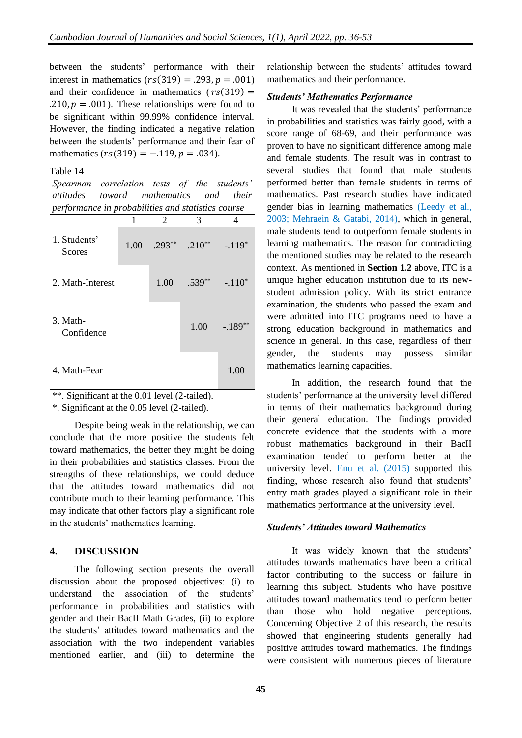between the students' performance with their interest in mathematics  $(rs(319) = .293, p = .001)$ and their confidence in mathematics  $(rs(319) =$ .210,  $p = .001$ ). These relationships were found to be significant within 99.99% confidence interval. However, the finding indicated a negative relation between the students' performance and their fear of mathematics  $(rs(319) = -.119, p = .034)$ .

#### Table 14

*Spearman correlation tests of the students' attitudes toward mathematics and their performance in probabilities and statistics course*

|                               | 1    | 2        | 3        |          |
|-------------------------------|------|----------|----------|----------|
| 1. Students'<br><b>Scores</b> | 1.00 | $.293**$ | $.210**$ | $-.119*$ |
| 2. Math-Interest              |      | 1.00     | $.539**$ | $-.110*$ |
| $3. Math-$<br>Confidence      |      |          | 1.00     | $-189$   |
| 4. Math-Fear                  |      |          |          | 1.00     |

\*\*. Significant at the 0.01 level (2-tailed).

\*. Significant at the 0.05 level (2-tailed).

Despite being weak in the relationship, we can conclude that the more positive the students felt toward mathematics, the better they might be doing in their probabilities and statistics classes. From the strengths of these relationships, we could deduce that the attitudes toward mathematics did not contribute much to their learning performance. This may indicate that other factors play a significant role in the students' mathematics learning.

### **4. DISCUSSION**

The following section presents the overall discussion about the proposed objectives: (i) to understand the association of the students' performance in probabilities and statistics with gender and their BacII Math Grades, (ii) to explore the students' attitudes toward mathematics and the association with the two independent variables mentioned earlier, and (iii) to determine the relationship between the students' attitudes toward mathematics and their performance.

#### *Students' Mathematics Performance*

It was revealed that the students' performance in probabilities and statistics was fairly good, with a score range of 68-69, and their performance was proven to have no significant difference among male and female students. The result was in contrast to several studies that found that male students performed better than female students in terms of mathematics. Past research studies have indicated gender bias in learning mathematics (Leedy et al., 2003; Mehraein & Gatabi, 2014), which in general, male students tend to outperform female students in learning mathematics. The reason for contradicting the mentioned studies may be related to the research context. As mentioned in **Section 1.2** above, ITC is a unique higher education institution due to its newstudent admission policy. With its strict entrance examination, the students who passed the exam and were admitted into ITC programs need to have a strong education background in mathematics and science in general. In this case, regardless of their gender, the students may possess similar mathematics learning capacities.

In addition, the research found that the students' performance at the university level differed in terms of their mathematics background during their general education. The findings provided concrete evidence that the students with a more robust mathematics background in their BacII examination tended to perform better at the university level. Enu et al. (2015) supported this finding, whose research also found that students' entry math grades played a significant role in their mathematics performance at the university level.

#### *Students' Attitudes toward Mathematics*

It was widely known that the students' attitudes towards mathematics have been a critical factor contributing to the success or failure in learning this subject. Students who have positive attitudes toward mathematics tend to perform better than those who hold negative perceptions. Concerning Objective 2 of this research, the results showed that engineering students generally had positive attitudes toward mathematics. The findings were consistent with numerous pieces of literature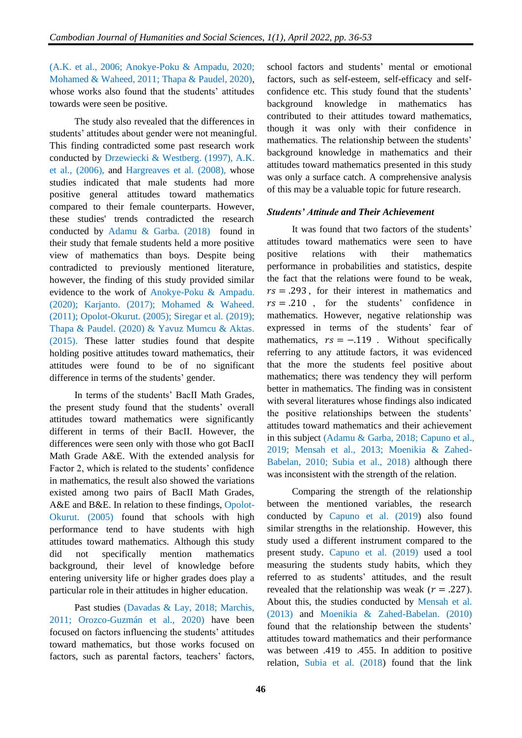(A.K. et al., 2006; Anokye-Poku & Ampadu, 2020; Mohamed & Waheed, 2011; Thapa & Paudel, 2020), whose works also found that the students' attitudes towards were seen be positive.

The study also revealed that the differences in students' attitudes about gender were not meaningful. This finding contradicted some past research work conducted by Drzewiecki & Westberg. (1997), A.K. et al., (2006), and Hargreaves et al. (2008), whose studies indicated that male students had more positive general attitudes toward mathematics compared to their female counterparts. However, these studies' trends contradicted the research conducted by Adamu & Garba. (2018) found in their study that female students held a more positive view of mathematics than boys. Despite being contradicted to previously mentioned literature, however, the finding of this study provided similar evidence to the work of Anokye-Poku & Ampadu. (2020); Karjanto. (2017); Mohamed & Waheed. (2011); Opolot-Okurut. (2005); Siregar et al. (2019); Thapa & Paudel. (2020) & Yavuz Mumcu & Aktas. (2015). These latter studies found that despite holding positive attitudes toward mathematics, their attitudes were found to be of no significant difference in terms of the students' gender.

In terms of the students' BacII Math Grades, the present study found that the students' overall attitudes toward mathematics were significantly different in terms of their BacII. However, the differences were seen only with those who got BacII Math Grade A&E. With the extended analysis for Factor 2, which is related to the students' confidence in mathematics, the result also showed the variations existed among two pairs of BacII Math Grades, A&E and B&E. In relation to these findings, Opolot-Okurut. (2005) found that schools with high performance tend to have students with high attitudes toward mathematics. Although this study did not specifically mention mathematics background, their level of knowledge before entering university life or higher grades does play a particular role in their attitudes in higher education.

Past studies (Davadas & Lay, 2018; Marchis, 2011; Orozco-Guzmán et al., 2020) have been focused on factors influencing the students' attitudes toward mathematics, but those works focused on factors, such as parental factors, teachers' factors,

school factors and students' mental or emotional factors, such as self-esteem, self-efficacy and selfconfidence etc. This study found that the students' background knowledge in mathematics has contributed to their attitudes toward mathematics, though it was only with their confidence in mathematics. The relationship between the students' background knowledge in mathematics and their attitudes toward mathematics presented in this study was only a surface catch. A comprehensive analysis of this may be a valuable topic for future research.

#### *Students' Attitude and Their Achievement*

It was found that two factors of the students' attitudes toward mathematics were seen to have positive relations with their mathematics performance in probabilities and statistics, despite the fact that the relations were found to be weak,  $rs = .293$ , for their interest in mathematics and  $rs = .210$ , for the students' confidence in mathematics. However, negative relationship was expressed in terms of the students' fear of mathematics,  $rs = -.119$ . Without specifically referring to any attitude factors, it was evidenced that the more the students feel positive about mathematics; there was tendency they will perform better in mathematics. The finding was in consistent with several literatures whose findings also indicated the positive relationships between the students' attitudes toward mathematics and their achievement in this subject (Adamu & Garba, 2018; Capuno et al., 2019; Mensah et al., 2013; Moenikia & Zahed-Babelan, 2010; Subia et al., 2018) although there was inconsistent with the strength of the relation.

Comparing the strength of the relationship between the mentioned variables, the research conducted by Capuno et al. (2019) also found similar strengths in the relationship. However, this study used a different instrument compared to the present study. Capuno et al. (2019) used a tool measuring the students study habits, which they referred to as students' attitudes, and the result revealed that the relationship was weak ( $r = .227$ ). About this, the studies conducted by Mensah et al. (2013) and Moenikia & Zahed-Babelan. (2010) found that the relationship between the students' attitudes toward mathematics and their performance was between .419 to .455. In addition to positive relation, Subia et al. (2018) found that the link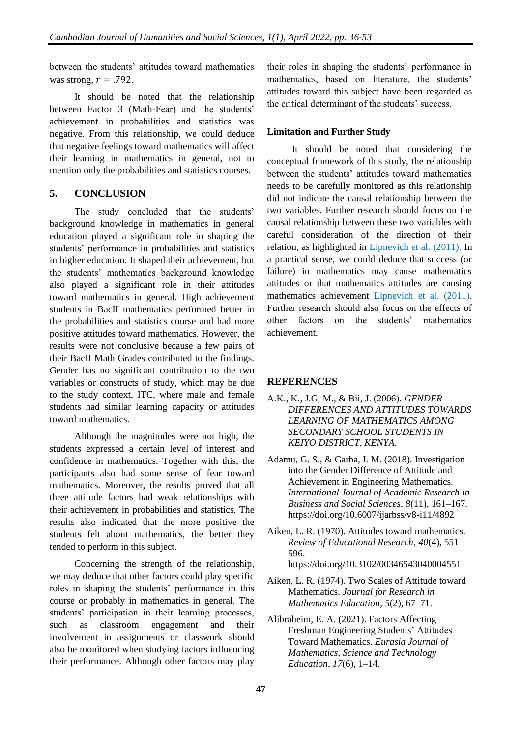between the students' attitudes toward mathematics was strong,  $r = .792$ .

It should be noted that the relationship between Factor 3 (Math-Fear) and the students' achievement in probabilities and statistics was negative. From this relationship, we could deduce that negative feelings toward mathematics will affect their learning in mathematics in general, not to mention only the probabilities and statistics courses.

# **5. CONCLUSION**

The study concluded that the students' background knowledge in mathematics in general education played a significant role in shaping the students' performance in probabilities and statistics in higher education. It shaped their achievement, but the students' mathematics background knowledge also played a significant role in their attitudes toward mathematics in general. High achievement students in BacII mathematics performed better in the probabilities and statistics course and had more positive attitudes toward mathematics. However, the results were not conclusive because a few pairs of their BacII Math Grades contributed to the findings. Gender has no significant contribution to the two variables or constructs of study, which may be due to the study context, ITC, where male and female students had similar learning capacity or attitudes toward mathematics.

Although the magnitudes were not high, the students expressed a certain level of interest and confidence in mathematics. Together with this, the participants also had some sense of fear toward mathematics. Moreover, the results proved that all three attitude factors had weak relationships with their achievement in probabilities and statistics. The results also indicated that the more positive the students felt about mathematics, the better they tended to perform in this subject.

Concerning the strength of the relationship, we may deduce that other factors could play specific roles in shaping the students' performance in this course or probably in mathematics in general. The students' participation in their learning processes, such as classroom engagement and their involvement in assignments or classwork should also be monitored when studying factors influencing their performance. Although other factors may play their roles in shaping the students' performance in mathematics, based on literature, the students' attitudes toward this subject have been regarded as the critical determinant of the students' success.

# **Limitation and Further Study**

It should be noted that considering the conceptual framework of this study, the relationship between the students' attitudes toward mathematics needs to be carefully monitored as this relationship did not indicate the causal relationship between the two variables. Further research should focus on the causal relationship between these two variables with careful consideration of the direction of their relation, as highlighted in Lipnevich et al. (2011). In a practical sense, we could deduce that success (or failure) in mathematics may cause mathematics attitudes or that mathematics attitudes are causing mathematics achievement Lipnevich et al. (2011). Further research should also focus on the effects of other factors on the students' mathematics achievement.

# **REFERENCES**

- A.K., K., J.G, M., & Bii, J. (2006). *GENDER DIFFERENCES AND ATTITUDES TOWARDS LEARNING OF MATHEMATICS AMONG SECONDARY SCHOOL STUDENTS IN KEIYO DISTRICT, KENYA*.
- Adamu, G. S., & Garba, I. M. (2018). Investigation into the Gender Difference of Attitude and Achievement in Engineering Mathematics. *International Journal of Academic Research in Business and Social Sciences*, *8*(11), 161–167. https://doi.org/10.6007/ijarbss/v8-i11/4892
- Aiken, L. R. (1970). Attitudes toward mathematics. *Review of Educational Research*, *40*(4), 551– 596. https://doi.org/10.3102/00346543040004551
- Aiken, L. R. (1974). Two Scales of Attitude toward Mathematics. *Journal for Research in Mathematics Education*, *5*(2), 67–71.
- Alibraheim, E. A. (2021). Factors Affecting Freshman Engineering Students' Attitudes Toward Mathematics. *Eurasia Journal of Mathematics, Science and Technology Education*, *17*(6), 1–14.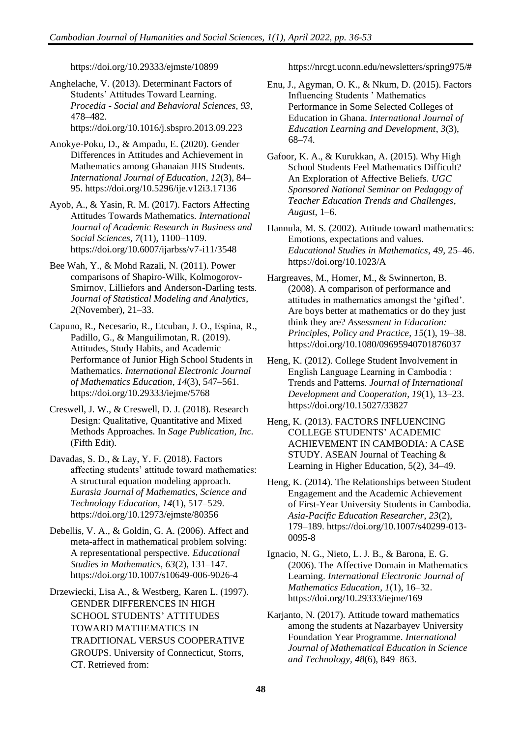https://doi.org/10.29333/ejmste/10899

Anghelache, V. (2013). Determinant Factors of Students' Attitudes Toward Learning. *Procedia - Social and Behavioral Sciences*, *93*, 478–482. https://doi.org/10.1016/j.sbspro.2013.09.223

- Anokye-Poku, D., & Ampadu, E. (2020). Gender Differences in Attitudes and Achievement in Mathematics among Ghanaian JHS Students. *International Journal of Education*, *12*(3), 84– 95. https://doi.org/10.5296/ije.v12i3.17136
- Ayob, A., & Yasin, R. M. (2017). Factors Affecting Attitudes Towards Mathematics. *International Journal of Academic Research in Business and Social Sciences*, *7*(11), 1100–1109. https://doi.org/10.6007/ijarbss/v7-i11/3548
- Bee Wah, Y., & Mohd Razali, N. (2011). Power comparisons of Shapiro-Wilk, Kolmogorov-Smirnov, Lilliefors and Anderson-Darling tests. *Journal of Statistical Modeling and Analytics*, *2*(November), 21–33.
- Capuno, R., Necesario, R., Etcuban, J. O., Espina, R., Padillo, G., & Manguilimotan, R. (2019). Attitudes, Study Habits, and Academic Performance of Junior High School Students in Mathematics. *International Electronic Journal of Mathematics Education*, *14*(3), 547–561. https://doi.org/10.29333/iejme/5768
- Creswell, J. W., & Creswell, D. J. (2018). Research Design: Qualitative, Quantitative and Mixed Methods Approaches. In *Sage Publication, Inc.* (Fifth Edit).
- Davadas, S. D., & Lay, Y. F. (2018). Factors affecting students' attitude toward mathematics: A structural equation modeling approach. *Eurasia Journal of Mathematics, Science and Technology Education*, *14*(1), 517–529. https://doi.org/10.12973/ejmste/80356
- Debellis, V. A., & Goldin, G. A. (2006). Affect and meta-affect in mathematical problem solving: A representational perspective. *Educational Studies in Mathematics*, *63*(2), 131–147. https://doi.org/10.1007/s10649-006-9026-4
- Drzewiecki, Lisa A., & Westberg, Karen L. (1997). GENDER DIFFERENCES IN HIGH SCHOOL STUDENTS' ATTITUDES TOWARD MATHEMATICS IN TRADITIONAL VERSUS COOPERATIVE GROUPS. University of Connecticut, Storrs, CT. Retrieved from:

https://nrcgt.uconn.edu/newsletters/spring975/#

- Enu, J., Agyman, O. K., & Nkum, D. (2015). Factors Influencing Students ' Mathematics Performance in Some Selected Colleges of Education in Ghana. *International Journal of Education Learning and Development*, *3*(3), 68–74.
- Gafoor, K. A., & Kurukkan, A. (2015). Why High School Students Feel Mathematics Difficult? An Exploration of Affective Beliefs. *UGC Sponsored National Seminar on Pedagogy of Teacher Education Trends and Challenges*, *August*, 1–6.
- Hannula, M. S. (2002). Attitude toward mathematics: Emotions, expectations and values. *Educational Studies in Mathematics*, *49*, 25–46. https://doi.org/10.1023/A
- Hargreaves, M., Homer, M., & Swinnerton, B. (2008). A comparison of performance and attitudes in mathematics amongst the 'gifted'. Are boys better at mathematics or do they just think they are? *Assessment in Education: Principles, Policy and Practice*, *15*(1), 19–38. https://doi.org/10.1080/09695940701876037
- Heng, K. (2012). College Student Involvement in English Language Learning in Cambodia : Trends and Patterns. *Journal of International Development and Cooperation*, *19*(1), 13–23. https://doi.org/10.15027/33827
- Heng, K. (2013). FACTORS INFLUENCING COLLEGE STUDENTS' ACADEMIC ACHIEVEMENT IN CAMBODIA: A CASE STUDY. ASEAN Journal of Teaching & Learning in Higher Education, 5(2), 34–49.
- Heng, K. (2014). The Relationships between Student Engagement and the Academic Achievement of First-Year University Students in Cambodia. *Asia-Pacific Education Researcher*, *23*(2), 179–189. https://doi.org/10.1007/s40299-013- 0095-8
- Ignacio, N. G., Nieto, L. J. B., & Barona, E. G. (2006). The Affective Domain in Mathematics Learning. *International Electronic Journal of Mathematics Education*, *1*(1), 16–32. https://doi.org/10.29333/iejme/169
- Karjanto, N. (2017). Attitude toward mathematics among the students at Nazarbayev University Foundation Year Programme. *International Journal of Mathematical Education in Science and Technology*, *48*(6), 849–863.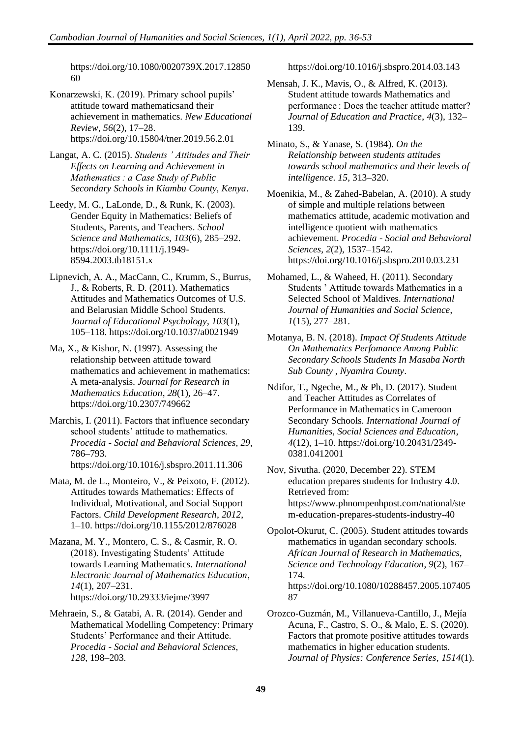https://doi.org/10.1080/0020739X.2017.12850 60

Konarzewski, K. (2019). Primary school pupils' attitude toward mathematicsand their achievement in mathematics. *New Educational Review*, *56*(2), 17–28. https://doi.org/10.15804/tner.2019.56.2.01

Langat, A. C. (2015). *Students ' Attitudes and Their Effects on Learning and Achievement in Mathematics : a Case Study of Public Secondary Schools in Kiambu County, Kenya*.

Leedy, M. G., LaLonde, D., & Runk, K. (2003). Gender Equity in Mathematics: Beliefs of Students, Parents, and Teachers. *School Science and Mathematics*, *103*(6), 285–292. https://doi.org/10.1111/j.1949- 8594.2003.tb18151.x

Lipnevich, A. A., MacCann, C., Krumm, S., Burrus, J., & Roberts, R. D. (2011). Mathematics Attitudes and Mathematics Outcomes of U.S. and Belarusian Middle School Students. *Journal of Educational Psychology*, *103*(1), 105–118. https://doi.org/10.1037/a0021949

Ma, X., & Kishor, N. (1997). Assessing the relationship between attitude toward mathematics and achievement in mathematics: A meta-analysis. *Journal for Research in Mathematics Education*, *28*(1), 26–47. https://doi.org/10.2307/749662

Marchis, I. (2011). Factors that influence secondary school students' attitude to mathematics. *Procedia - Social and Behavioral Sciences*, *29*, 786–793. https://doi.org/10.1016/j.sbspro.2011.11.306

Mata, M. de L., Monteiro, V., & Peixoto, F. (2012). Attitudes towards Mathematics: Effects of Individual, Motivational, and Social Support Factors. *Child Development Research*, *2012*, 1–10. https://doi.org/10.1155/2012/876028

Mazana, M. Y., Montero, C. S., & Casmir, R. O. (2018). Investigating Students' Attitude towards Learning Mathematics. *International Electronic Journal of Mathematics Education*, *14*(1), 207–231. https://doi.org/10.29333/iejme/3997

Mehraein, S., & Gatabi, A. R. (2014). Gender and Mathematical Modelling Competency: Primary Students' Performance and their Attitude. *Procedia - Social and Behavioral Sciences*, *128*, 198–203.

https://doi.org/10.1016/j.sbspro.2014.03.143

Mensah, J. K., Mavis, O., & Alfred, K. (2013). Student attitude towards Mathematics and performance : Does the teacher attitude matter? *Journal of Education and Practice*, *4*(3), 132– 139.

Minato, S., & Yanase, S. (1984). *On the Relationship between students attitudes towards school mathematics and their levels of intelligence*. *15*, 313–320.

Moenikia, M., & Zahed-Babelan, A. (2010). A study of simple and multiple relations between mathematics attitude, academic motivation and intelligence quotient with mathematics achievement. *Procedia - Social and Behavioral Sciences*, *2*(2), 1537–1542. https://doi.org/10.1016/j.sbspro.2010.03.231

Mohamed, L., & Waheed, H. (2011). Secondary Students ' Attitude towards Mathematics in a Selected School of Maldives. *International Journal of Humanities and Social Science*, *1*(15), 277–281.

Motanya, B. N. (2018). *Impact Of Students Attitude On Mathematics Perfomance Among Public Secondary Schools Students In Masaba North Sub County , Nyamira County*.

Ndifor, T., Ngeche, M., & Ph, D. (2017). Student and Teacher Attitudes as Correlates of Performance in Mathematics in Cameroon Secondary Schools. *International Journal of Humanities, Social Sciences and Education*, *4*(12), 1–10. https://doi.org/10.20431/2349- 0381.0412001

Nov, Sivutha. (2020, December 22). STEM education prepares students for Industry 4.0. Retrieved from: https://www.phnompenhpost.com/national/ste m-education-prepares-students-industry-40

Opolot-Okurut, C. (2005). Student attitudes towards mathematics in ugandan secondary schools. *African Journal of Research in Mathematics, Science and Technology Education*, *9*(2), 167– 174. https://doi.org/10.1080/10288457.2005.107405 87

Orozco-Guzmán, M., Villanueva-Cantillo, J., Mejía Acuna, F., Castro, S. O., & Malo, E. S. (2020). Factors that promote positive attitudes towards mathematics in higher education students. *Journal of Physics: Conference Series*, *1514*(1).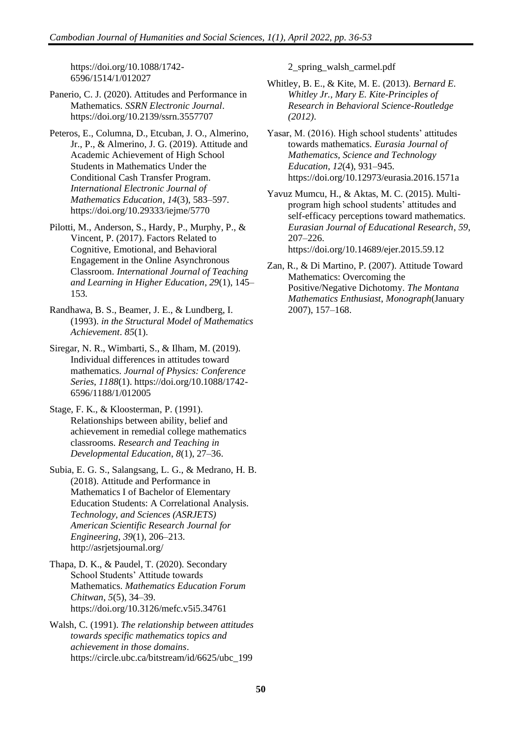https://doi.org/10.1088/1742- 6596/1514/1/012027

Panerio, C. J. (2020). Attitudes and Performance in Mathematics. *SSRN Electronic Journal*. https://doi.org/10.2139/ssrn.3557707

Peteros, E., Columna, D., Etcuban, J. O., Almerino, Jr., P., & Almerino, J. G. (2019). Attitude and Academic Achievement of High School Students in Mathematics Under the Conditional Cash Transfer Program. *International Electronic Journal of Mathematics Education*, *14*(3), 583–597. https://doi.org/10.29333/iejme/5770

Pilotti, M., Anderson, S., Hardy, P., Murphy, P., & Vincent, P. (2017). Factors Related to Cognitive, Emotional, and Behavioral Engagement in the Online Asynchronous Classroom. *International Journal of Teaching and Learning in Higher Education*, *29*(1), 145– 153.

Randhawa, B. S., Beamer, J. E., & Lundberg, I. (1993). *in the Structural Model of Mathematics Achievement*. *85*(1).

Siregar, N. R., Wimbarti, S., & Ilham, M. (2019). Individual differences in attitudes toward mathematics. *Journal of Physics: Conference Series*, *1188*(1). https://doi.org/10.1088/1742- 6596/1188/1/012005

Stage, F. K., & Kloosterman, P. (1991). Relationships between ability, belief and achievement in remedial college mathematics classrooms. *Research and Teaching in Developmental Education*, *8*(1), 27–36.

Subia, E. G. S., Salangsang, L. G., & Medrano, H. B. (2018). Attitude and Performance in Mathematics I of Bachelor of Elementary Education Students: A Correlational Analysis. *Technology, and Sciences (ASRJETS) American Scientific Research Journal for Engineering*, *39*(1), 206–213. http://asrjetsjournal.org/

Thapa, D. K., & Paudel, T. (2020). Secondary School Students' Attitude towards Mathematics. *Mathematics Education Forum Chitwan*, *5*(5), 34–39. https://doi.org/10.3126/mefc.v5i5.34761

Walsh, C. (1991). *The relationship between attitudes towards specific mathematics topics and achievement in those domains*. https://circle.ubc.ca/bitstream/id/6625/ubc\_199

2\_spring\_walsh\_carmel.pdf

Whitley, B. E., & Kite, M. E. (2013). *Bernard E. Whitley Jr., Mary E. Kite-Principles of Research in Behavioral Science-Routledge (2012)*.

Yasar, M. (2016). High school students' attitudes towards mathematics. *Eurasia Journal of Mathematics, Science and Technology Education*, *12*(4), 931–945. https://doi.org/10.12973/eurasia.2016.1571a

Yavuz Mumcu, H., & Aktas, M. C. (2015). Multiprogram high school students' attitudes and self-efficacy perceptions toward mathematics. *Eurasian Journal of Educational Research*, *59*, 207–226. https://doi.org/10.14689/ejer.2015.59.12

Zan, R., & Di Martino, P. (2007). Attitude Toward Mathematics: Overcoming the Positive/Negative Dichotomy. *The Montana Mathematics Enthusiast*, *Monograph*(January 2007), 157–168.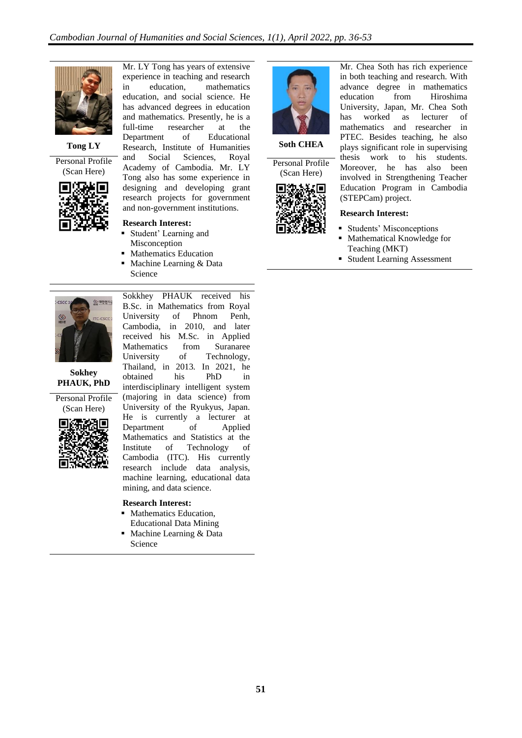

**Tong LY**

Personal Profile (Scan Here)



Mr. LY Tong has years of extensive experience in teaching and research<br>in education, mathematics in education, mathematics education, and social science. He has advanced degrees in education and mathematics. Presently, he is a full-time researcher at the Department of Educational Research, Institute of Humanities and Social Sciences, Royal Academy of Cambodia. Mr. LY Tong also has some experience in designing and developing grant research projects for government and non-government institutions.

**Research Interest:** ■ Student' Learning and Misconception ■ Mathematics Education Machine Learning & Data

Science

**Soth CHEA**

Personal Profile (Scan Here)



Mr. Chea Soth has rich experience in both teaching and research. With advance degree in mathematics education from Hiroshima University, Japan, Mr. Chea Soth has worked as lecturer of mathematics and researcher in PTEC. Besides teaching, he also plays significant role in supervising thesis work to his students. Moreover, he has also been involved in Strengthening Teacher Education Program in Cambodia (STEPCam) project.

#### **Research Interest:**

- Students' Misconceptions
- Mathematical Knowledge for Teaching (MKT)
- Student Learning Assessment



**Sokhey PHAUK, PhD**

Personal Profile (Scan Here)



B.Sc. in Mathematics from Royal University of Phnom Penh, Cambodia, in 2010, and later received his M.Sc. in Applied Mathematics from Suranaree University of Technology, Thailand, in 2013. In 2021, he obtained his PhD in interdisciplinary intelligent system (majoring in data science) from University of the Ryukyus, Japan. He is currently a lecturer at Department of Applied Mathematics and Statistics at the<br>Institute of Technology of Institute of Technology of Cambodia (ITC). His currently research include data analysis, machine learning, educational data mining, and data science.

Sokkhey PHAUK received his

#### **Research Interest:**

- Mathematics Education, Educational Data Mining
- Machine Learning & Data Science

**51**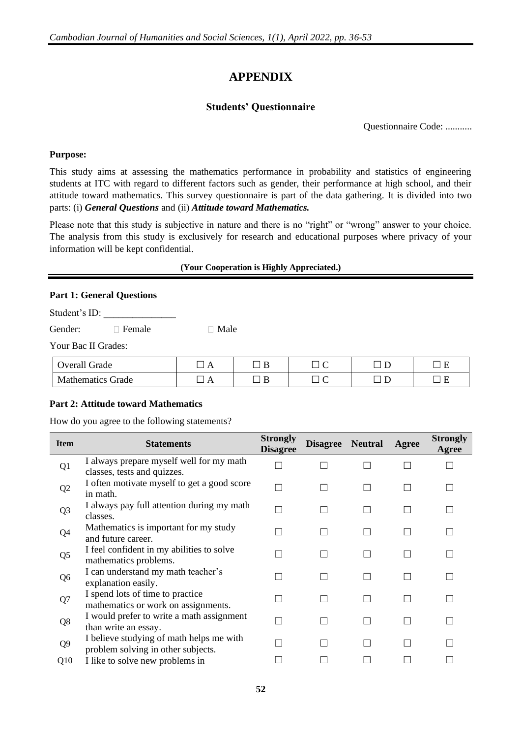# **APPENDIX**

# **Students' Questionnaire**

Questionnaire Code: ...........

#### **Purpose:**

This study aims at assessing the mathematics performance in probability and statistics of engineering students at ITC with regard to different factors such as gender, their performance at high school, and their attitude toward mathematics. This survey questionnaire is part of the data gathering. It is divided into two parts: (i) *General Questions* and (ii) *Attitude toward Mathematics.*

Please note that this study is subjective in nature and there is no "right" or "wrong" answer to your choice. The analysis from this study is exclusively for research and educational purposes where privacy of your information will be kept confidential.

#### **(Your Cooperation is Highly Appreciated.)**

#### **Part 1: General Questions**

Student's ID:

Gender: Emale Male

|  |  |  | Your Bac II Grades: |
|--|--|--|---------------------|
|--|--|--|---------------------|

| <b>Overall Grade</b>   |  |  | $\overline{\phantom{0}}$ |
|------------------------|--|--|--------------------------|
| Mathematics :<br>Grade |  |  |                          |

#### **Part 2: Attitude toward Mathematics**

How do you agree to the following statements?

| <b>Item</b>    | <b>Statements</b>                                                              | <b>Strongly</b><br><b>Disagree</b> | Disagree Neutral | Agree | <b>Strongly</b><br>Agree |
|----------------|--------------------------------------------------------------------------------|------------------------------------|------------------|-------|--------------------------|
| Q <sub>1</sub> | I always prepare myself well for my math<br>classes, tests and quizzes.        |                                    |                  |       |                          |
| Q <sub>2</sub> | I often motivate myself to get a good score<br>in math.                        |                                    |                  |       |                          |
| Q <sub>3</sub> | I always pay full attention during my math<br>classes.                         |                                    |                  |       |                          |
| Q4             | Mathematics is important for my study<br>and future career.                    |                                    |                  |       |                          |
| Q <sub>5</sub> | I feel confident in my abilities to solve<br>mathematics problems.             |                                    |                  |       |                          |
| Q <sub>6</sub> | I can understand my math teacher's<br>explanation easily.                      |                                    |                  |       |                          |
| Q7             | I spend lots of time to practice<br>mathematics or work on assignments.        |                                    |                  |       |                          |
| Q8             | I would prefer to write a math assignment<br>than write an essay.              |                                    |                  |       |                          |
| Q <sub>9</sub> | I believe studying of math helps me with<br>problem solving in other subjects. |                                    |                  |       |                          |
| Q10            | I like to solve new problems in                                                |                                    |                  |       |                          |